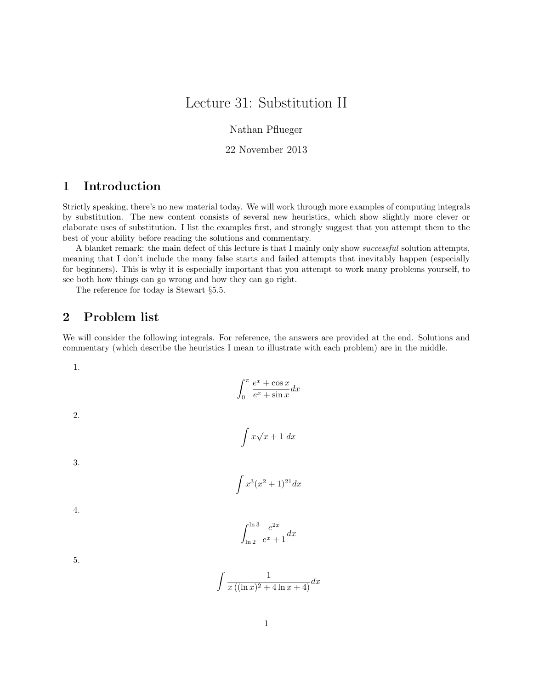# Lecture 31: Substitution II

Nathan Pflueger

#### 22 November 2013

## 1 Introduction

Strictly speaking, there's no new material today. We will work through more examples of computing integrals by substitution. The new content consists of several new heuristics, which show slightly more clever or elaborate uses of substitution. I list the examples first, and strongly suggest that you attempt them to the best of your ability before reading the solutions and commentary.

A blanket remark: the main defect of this lecture is that I mainly only show successful solution attempts, meaning that I don't include the many false starts and failed attempts that inevitably happen (especially for beginners). This is why it is especially important that you attempt to work many problems yourself, to see both how things can go wrong and how they can go right.

The reference for today is Stewart §5.5.

# 2 Problem list

We will consider the following integrals. For reference, the answers are provided at the end. Solutions and commentary (which describe the heuristics I mean to illustrate with each problem) are in the middle.

1.

$$
\int_0^\pi \frac{e^x + \cos x}{e^x + \sin x} dx
$$

2.

$$
\int x\sqrt{x+1} \ dx
$$

3.

$$
\int x^3 (x^2+1)^{21} dx
$$

4.

$$
\int_{\ln 2}^{\ln 3} \frac{e^{2x}}{e^x + 1} dx
$$

5.

$$
\int \frac{1}{x\left( (\ln x)^2 + 4\ln x + 4 \right)} dx
$$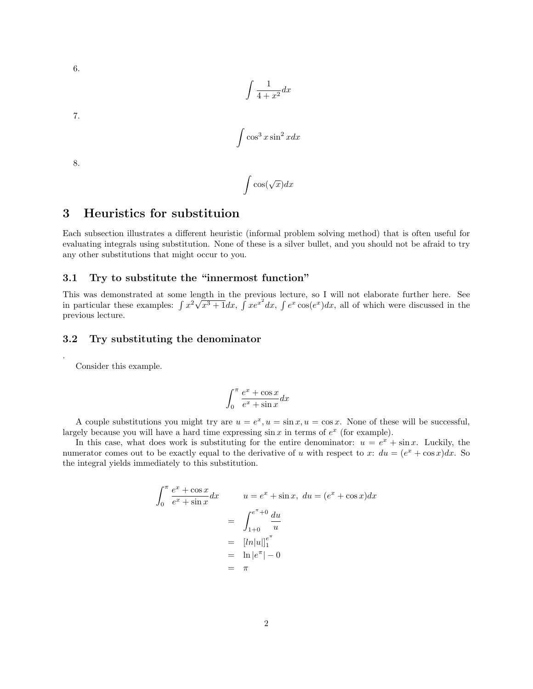$$
\int \frac{1}{4+x^2} dx
$$

7.

6.

$$
\int \cos^3 x \sin^2 x dx
$$

 $\int \cos(\sqrt{x}) dx$ 

8.

.

# 3 Heuristics for substituion

Each subsection illustrates a different heuristic (informal problem solving method) that is often useful for evaluating integrals using substitution. None of these is a silver bullet, and you should not be afraid to try any other substitutions that might occur to you.

#### 3.1 Try to substitute the "innermost function"

This was demonstrated at some length in the previous lecture, so I will not elaborate further here. See in particular these examples:  $\int x^2 \sqrt{x^3 + 1} dx$ ,  $\int xe^{x^2} dx$ ,  $\int e^x \cos(e^x) dx$ , all of which were discussed in the previous lecture.

#### 3.2 Try substituting the denominator

Consider this example.

$$
\int_0^\pi \frac{e^x + \cos x}{e^x + \sin x} dx
$$

A couple substitutions you might try are  $u = e^x$ ,  $u = \sin x$ ,  $u = \cos x$ . None of these will be successful, largely because you will have a hard time expressing  $\sin x$  in terms of  $e^x$  (for example).

In this case, what does work is substituting for the entire denominator:  $u = e^x + \sin x$ . Luckily, the numerator comes out to be exactly equal to the derivative of u with respect to x:  $du = (e^x + \cos x)dx$ . So the integral yields immediately to this substitution.

$$
\int_0^\pi \frac{e^x + \cos x}{e^x + \sin x} dx
$$
\n
$$
u = e^x + \sin x, \ du = (e^x + \cos x) dx
$$
\n
$$
= \int_{1+0}^{e^{\pi}+0} \frac{du}{u}
$$
\n
$$
= [ln|u||]_1^{e^{\pi}}
$$
\n
$$
= ln |e^{\pi}| - 0
$$
\n
$$
= \pi
$$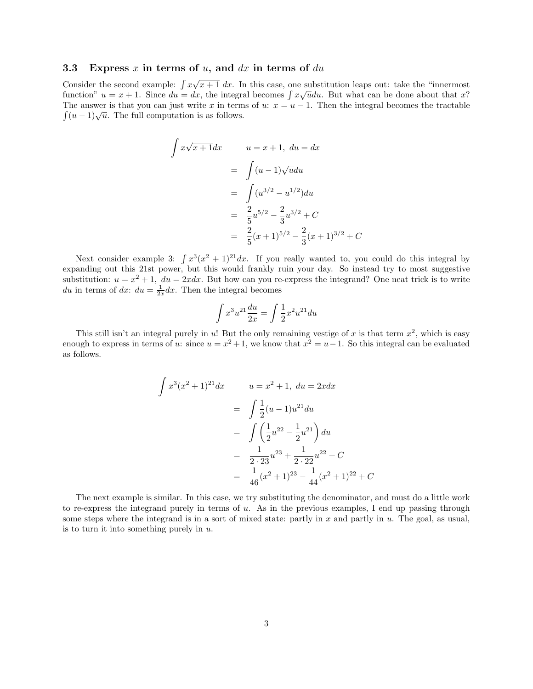#### 3.3 Express  $x$  in terms of  $u$ , and  $dx$  in terms of  $du$

J

Consider the second example:  $\int x\sqrt{x+1} dx$ . In this case, one substitution leaps out: take the "innermost" function"  $u = x + 1$ . Since  $du = dx$ , the integral becomes  $\int x \sqrt{u} du$ . But what can be done about that x? The answer is that you can just write x in terms of u:  $x = u - 1$ . Then the integral becomes the tractable The answer is that you can just write x in term<br> $\int (u-1)\sqrt{u}$ . The full computation is as follows.

$$
\int x\sqrt{x+1}dx \qquad u = x+1, \ du = dx
$$

$$
= \int (u-1)\sqrt{u}du
$$

$$
= \int (u^{3/2} - u^{1/2})du
$$

$$
= \frac{2}{5}u^{5/2} - \frac{2}{3}u^{3/2} + C
$$

$$
= \frac{2}{5}(x+1)^{5/2} - \frac{2}{3}(x+1)^{3/2} + C
$$

Next consider example 3:  $\int x^3(x^2+1)^{21}dx$ . If you really wanted to, you could do this integral by expanding out this 21st power, but this would frankly ruin your day. So instead try to most suggestive substitution:  $u = x^2 + 1$ ,  $du = 2xdx$ . But how can you re-express the integrand? One neat trick is to write du in terms of dx:  $du = \frac{1}{2x} dx$ . Then the integral becomes

 $\overline{C}$ 

$$
\int x^3 u^{21} \frac{du}{2x} = \int \frac{1}{2} x^2 u^{21} du
$$

This still isn't an integral purely in u! But the only remaining vestige of x is that term  $x^2$ , which is easy enough to express in terms of u: since  $u = x^2 + 1$ , we know that  $x^2 = u - 1$ . So this integral can be evaluated as follows.

$$
\int x^3 (x^2 + 1)^{21} dx \qquad u = x^2 + 1, \ du = 2x dx
$$

$$
= \int \frac{1}{2} (u - 1) u^{21} du
$$

$$
= \int \left(\frac{1}{2} u^{22} - \frac{1}{2} u^{21}\right) du
$$

$$
= \frac{1}{2 \cdot 23} u^{23} + \frac{1}{2 \cdot 22} u^{22} + C
$$

$$
= \frac{1}{46} (x^2 + 1)^{23} - \frac{1}{44} (x^2 + 1)^{22} + C
$$

The next example is similar. In this case, we try substituting the denominator, and must do a little work to re-express the integrand purely in terms of  $u$ . As in the previous examples, I end up passing through some steps where the integrand is in a sort of mixed state: partly in x and partly in  $u$ . The goal, as usual, is to turn it into something purely in  $u$ .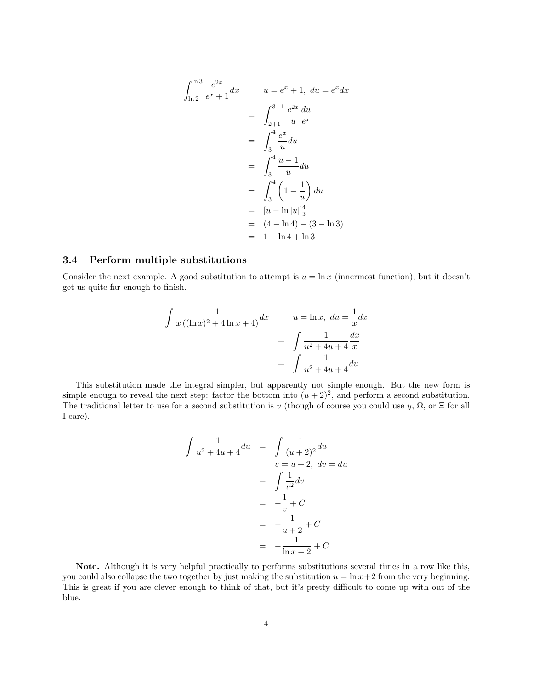$$
\int_{\ln 2}^{\ln 3} \frac{e^{2x}}{e^x + 1} dx \qquad u = e^x + 1, \ du = e^x dx
$$
  

$$
= \int_{2+1}^{3+1} \frac{e^{2x}}{u} \frac{du}{e^x}
$$
  

$$
= \int_3^4 \frac{e^x}{u} du
$$
  

$$
= \int_3^4 \frac{u - 1}{u} du
$$
  

$$
= \int_3^4 \left(1 - \frac{1}{u}\right) du
$$
  

$$
= [u - \ln |u|]_3^4
$$
  

$$
= (4 - \ln 4) - (3 - \ln 3)
$$
  

$$
= 1 - \ln 4 + \ln 3
$$

#### 3.4 Perform multiple substitutions

Consider the next example. A good substitution to attempt is  $u = \ln x$  (innermost function), but it doesn't get us quite far enough to finish.

$$
\int \frac{1}{x((\ln x)^2 + 4\ln x + 4)} dx
$$
\n
$$
u = \ln x, \ du = \frac{1}{x} dx
$$
\n
$$
= \int \frac{1}{u^2 + 4u + 4} \frac{dx}{x}
$$
\n
$$
= \int \frac{1}{u^2 + 4u + 4} du
$$

This substitution made the integral simpler, but apparently not simple enough. But the new form is simple enough to reveal the next step: factor the bottom into  $(u+2)^2$ , and perform a second substitution. The traditional letter to use for a second substitution is v (though of course you could use y,  $\Omega$ , or  $\Xi$  for all I care).

$$
\int \frac{1}{u^2 + 4u + 4} du = \int \frac{1}{(u+2)^2} du
$$
  

$$
v = u + 2, dv = du
$$
  

$$
= \int \frac{1}{v^2} dv
$$
  

$$
= -\frac{1}{v} + C
$$
  

$$
= -\frac{1}{u+2} + C
$$
  

$$
= -\frac{1}{\ln x + 2} + C
$$

Note. Although it is very helpful practically to performs substitutions several times in a row like this, you could also collapse the two together by just making the substitution  $u = \ln x + 2$  from the very beginning. This is great if you are clever enough to think of that, but it's pretty difficult to come up with out of the blue.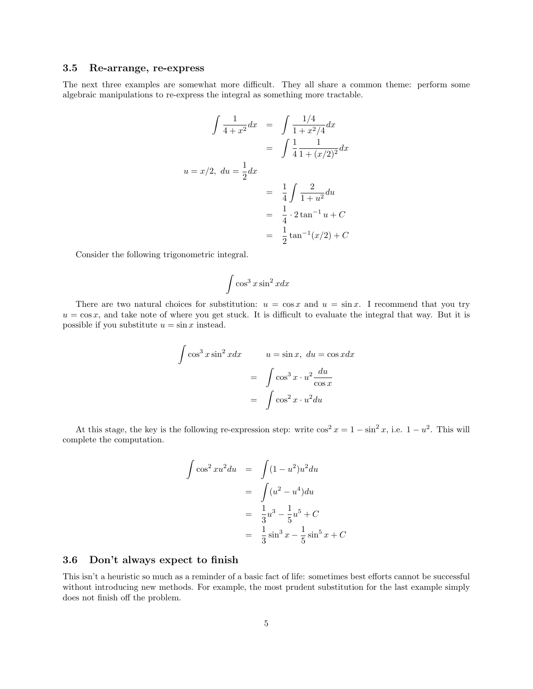#### 3.5 Re-arrange, re-express

The next three examples are somewhat more difficult. They all share a common theme: perform some algebraic manipulations to re-express the integral as something more tractable.

$$
\int \frac{1}{4+x^2} dx = \int \frac{1/4}{1+x^2/4} dx
$$

$$
= \int \frac{1}{4} \frac{1}{1+(x/2)^2} dx
$$

$$
u = x/2, du = \frac{1}{2} dx
$$

$$
= \frac{1}{4} \int \frac{2}{1+u^2} du
$$

$$
= \frac{1}{4} \cdot 2 \tan^{-1} u + C
$$

$$
= \frac{1}{2} \tan^{-1}(x/2) + C
$$

Consider the following trigonometric integral.

$$
\int \cos^3 x \sin^2 x dx
$$

There are two natural choices for substitution:  $u = \cos x$  and  $u = \sin x$ . I recommend that you try  $u = \cos x$ , and take note of where you get stuck. It is difficult to evaluate the integral that way. But it is possible if you substitute  $u = \sin x$  instead.

$$
\int \cos^3 x \sin^2 x dx \qquad u = \sin x, \ du = \cos x dx
$$

$$
= \int \cos^3 x \cdot u^2 \frac{du}{\cos x}
$$

$$
= \int \cos^2 x \cdot u^2 du
$$

At this stage, the key is the following re-expression step: write  $\cos^2 x = 1 - \sin^2 x$ , i.e.  $1 - u^2$ . This will complete the computation.

$$
\int \cos^2 xu^2 du = \int (1 - u^2)u^2 du
$$
  
= 
$$
\int (u^2 - u^4) du
$$
  
= 
$$
\frac{1}{3}u^3 - \frac{1}{5}u^5 + C
$$
  
= 
$$
\frac{1}{3}\sin^3 x - \frac{1}{5}\sin^5 x + C
$$

#### 3.6 Don't always expect to finish

This isn't a heuristic so much as a reminder of a basic fact of life: sometimes best efforts cannot be successful without introducing new methods. For example, the most prudent substitution for the last example simply does not finish off the problem.